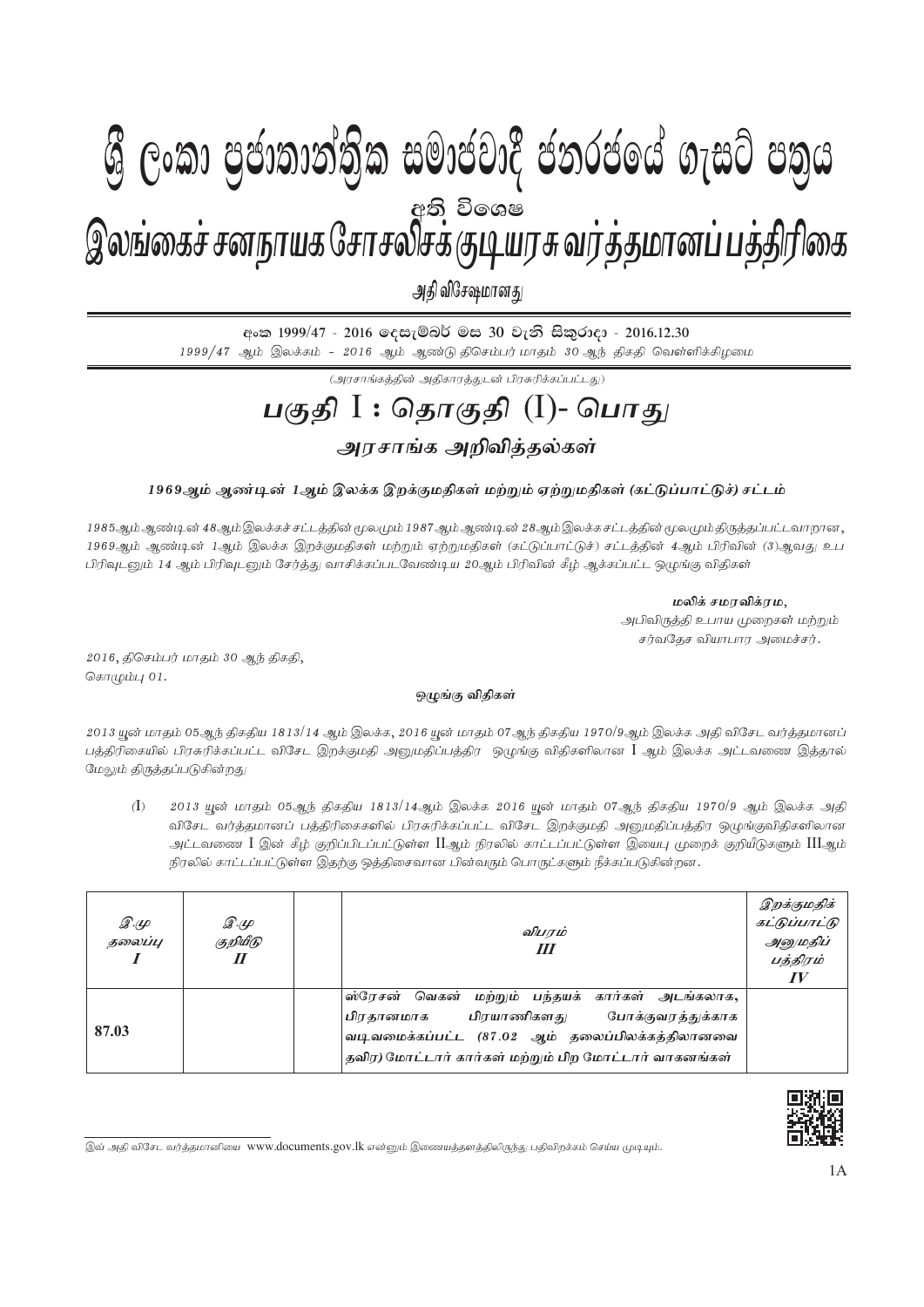## **ශී ලංකා පුජාතාන්තික සමාජවාදී ජනරජයේ ගැසට් පතුය** இலங்கைச் சனநாயக சோசலசக்குடியர்சு வரத்தமானப் பத்தாரணக <u>අති</u> විශෙෂ

அதி விசேஷமானது

<u>eංක 1999/47 - 2016 ලෙසැම්බර් මස 30 වැනි සිකුරාදා - 2016.12.30</u> 1999/47 ஆம் இலக்கம் - 2016 ஆம் ஆண்டு திசெம்பர் மாதம் 30 ஆந் திகதி வெள்ளிக்கிழமை

 $(\mathcal{A}$ ரசாங்கத்தின் அதிகாரத்துடன் பிரசுரிக்கப்பட்டது)

## <u>பகுதி</u> I : தொகுதி (I)- பொது அரசாங்க அறிவித்தல்கள்

## 1969ஆம் ஆண்டின் 1ஆம் இலக்க இறக்குமதிகள் மற்றும் ஏற்றுமதிகள் (கட்டுப்பாட்டுச்) சட்டம்

1985ஆம் ஆண்டின் 48ஆம் இலக்கச் சட்டத்தின் மூலமும் 1987 ஆம் ஆண்டின் 28ஆம் இலக்கசட்டத்தின் மூலமும் திருத்தப்பட்டவாறான 1969ஆம் ஆண்டின் 1ஆம் இலக்க இறக்குமதிகள் மற்றும் ஏற்றுமதிகள் (கட்டுப்பாட்டுச்) சட்டத்தின் 4ஆம் பிரிவின் (3)ஆவது உப பிரிவுடனும் 14 ஆம் பிரிவுடனும் சேர்த்து வாசிக்கப்படவேண்டிய 20ஆம் பிரிவின் கீழ் ஆக்கப்பட்ட ஒழுங்கு விதிகள்

**மலிக் சமரவிக்ரம,** 

அபிவிருத்தி உபாய முறைகள் மற்றும் சர்வதேச வியாபார அமைச்சர்.

 $2016$ , திசெம்பர் மாதம்  $30$  ஆந் திகதி, கொழும்பு $01$ .

## ஒழுங்கு விதிகள்

2013 யுன் மாதம் 05ஆந் திகதிய 1813/14 ஆம் இலக்க, 2016 யுன் மாதம் 07ஆந் திகதிய 1970/9ஆம் இலக்க அதி விசேட வர்த்தமானப் பத்திரிகையில் பிரசுரிக்கப்பட்ட விசேட இறக்குமதி அனுமதிப்பத்திர ஒழுங்கு விதிகளிலான  $\rm{I}$  ஆம் இலக்க அட்டவணை இத்தால் மேலும் திருத்தப்படுகின்றது

 $(1)$  2013 யூன் மாதம் 05ஆந் திகதிய 1813/14ஆம் இலக்க 2016 யூன் மாதம் 07ஆந் திகதிய 1970/9 ஆம் இலக்க அதி விசேட வர்த்தமானப் பத்திரிகைகளில் பிரசுரிக்கப்பட்ட விசேட இறக்குமதி அனுமதிப்பத்திர ஒழுங்குவிதிகளிலான அட்டவணை  $\rm I$  இன் கீழ் குறிப்பிடப்பட்டுள்ள  $\rm H$ ஆம் நிரலில் காட்டப்பட்டுள்ள இயைபு முறைக் குறியீடுகளும்  $\rm HI$ ஆம் நிரலில் காட்டப்பட்டுள்ள இதற்கு ஒத்திசைவான பின்வரும் பொருட்களும் நீக்கப்படுகின்றன.

| $\mathscr{F}$<br>தலைப்பு | இ.மு<br>குறியீடு<br>$I\!I$ | விபரம்<br>Ш                                                                                                                                                                                             | இறக்குமதிக்<br>கட்டுப்பாட்டு<br>அனுமதிப்<br>பத்திரம்<br>$I\hspace{-.1em}V$ |
|--------------------------|----------------------------|---------------------------------------------------------------------------------------------------------------------------------------------------------------------------------------------------------|----------------------------------------------------------------------------|
| 87.03                    |                            | ஸ்ரேசன் வெகன் மற்றும் பந்தயக் கார்கள் அடங்கலாக,<br> பிரதானமாக பிரயாணிகளது போக்குவரத்துக்காக<br>வடிவமைக்கப்பட்ட (87.02 ஆம் தலைப்பிலக்கத்திலானவை<br>தவிர) மோட்டார் கார்கள் மற்றும் பிற மோட்டார் வாகனங்கள் |                                                                            |



இவ் அதி விசேட வர்த்தமானியை www.documents.gov.lk என்னும் இணையத்தளத்திலிருந்து பதிவிறக்கம் செய்ய முடியும்.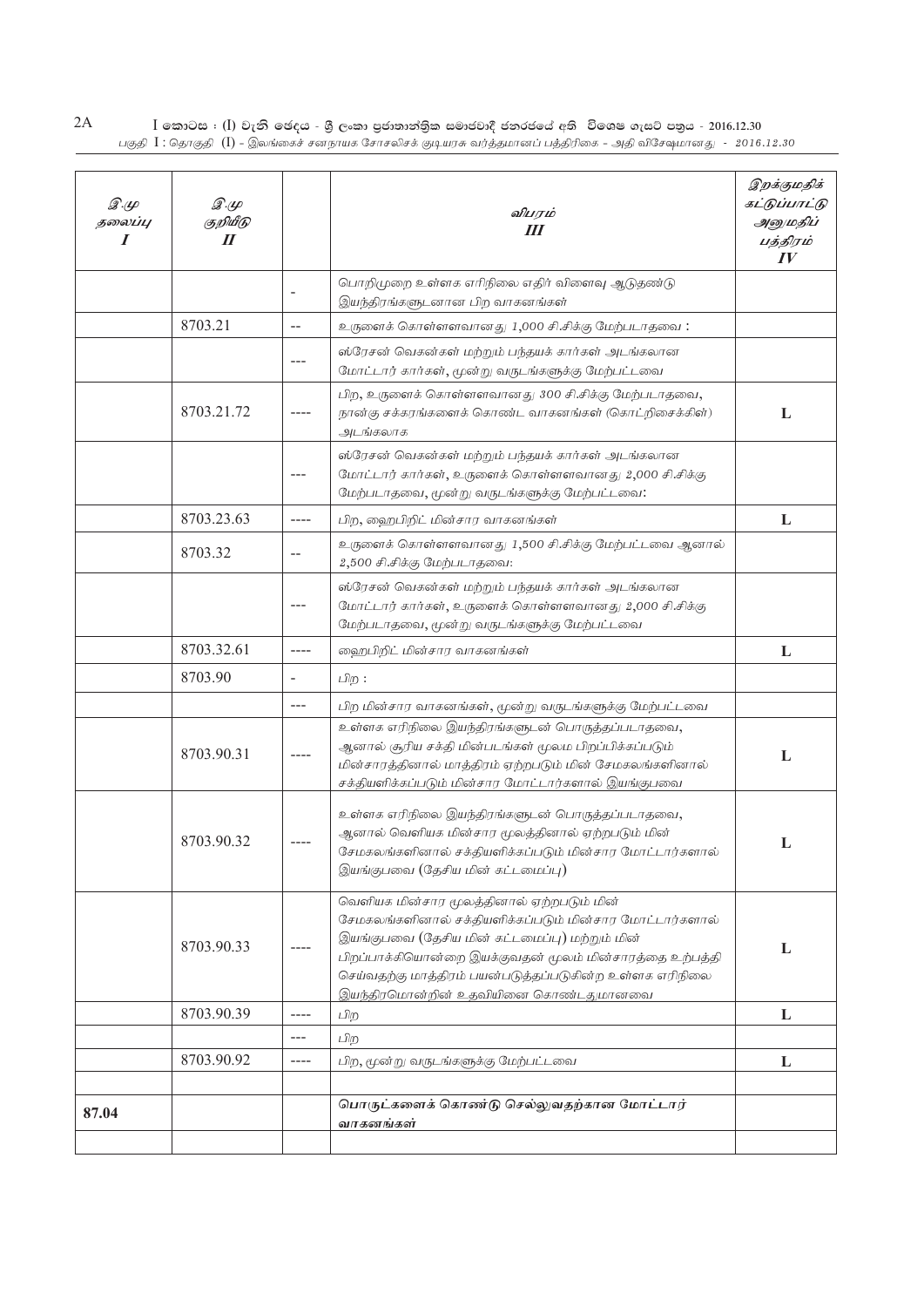$2A$  $I$  කොටස : ( $I$ ) වැනි ඡෙදය - යී ලංකා පුජාතාන්තික සමාජවාදී ජනරජයේ අති විශෙෂ ගැසට් පතුය - 2016.12.30<br>பகுதி  $I$  : தொகுதி  $(I)$  – இலங்கைச் சனநாயக சோசலிசக் குடியரசு வர்த்தமானப் பத்திரிகை – அதி விசேஷமானது - 2016.12.30

| இ.மு<br>தலைப்பு<br>I | $\mathscr{D}.\varphi$<br>குறியீடு<br>$I\!I$ |                   | விபரம்<br>Ш                                                                                                                                                                                                                                                                                                           | இறக்குமதிக்<br>கட்டுப்பாட்டு<br>அனுமதிப்<br>பத்திரம்<br>$I\hspace{-.1em}V$ |
|----------------------|---------------------------------------------|-------------------|-----------------------------------------------------------------------------------------------------------------------------------------------------------------------------------------------------------------------------------------------------------------------------------------------------------------------|----------------------------------------------------------------------------|
|                      |                                             |                   | பொறிமுறை உள்ளக எரிநிலை எதிர் விளைவு ஆடுதண்டு<br>இயந்திரங்களுடனான பிற வாகனங்கள்                                                                                                                                                                                                                                        |                                                                            |
|                      | 8703.21                                     | $\overline{a}$    | உருளைக் கொள்ளளவானது 1,000 சி.சிக்கு மேற்படாதவை:                                                                                                                                                                                                                                                                       |                                                                            |
|                      |                                             |                   | ஸ்ரேசன் வெகன்கள் மற்றும் பந்தயக் கார்கள் அடங்கலான<br>மோட்டார் கார்கள், மூன்று வருடங்களுக்கு மேற்பட்டவை                                                                                                                                                                                                                |                                                                            |
|                      | 8703.21.72                                  |                   | பிற, உருளைக் கொள்ளளவானது 300 சி.சிக்கு மேற்படாதவை,<br>நான்கு சக்கரங்களைக் கொண்ட வாகனங்கள் (கொட்றிசைக்கிள்)<br>அடங்கலாக                                                                                                                                                                                                | L                                                                          |
|                      |                                             | ---               | ஸ்ரேசன் வெகன்கள் மற்றும் பந்தயக் கார்கள் அடங்கலான<br>மோட்டார் கார்கள், உருளைக் கொள்ளளவானது 2,000 சி.சிக்கு<br>மேற்படாதவை, மூன்று வருடங்களுக்கு மேற்பட்டவை:                                                                                                                                                            |                                                                            |
|                      | 8703.23.63                                  | $---$             | பிற, ஹைபிறிட் மின்சார வாகனங்கள்                                                                                                                                                                                                                                                                                       | L                                                                          |
|                      | 8703.32                                     | $-\,-$            | உருளைக் கொள்ளளவானது 1,500 சி.சிக்கு மேற்பட்டவை ஆனால்<br>2,500 சி.சிக்கு மேற்படாதவை:                                                                                                                                                                                                                                   |                                                                            |
|                      |                                             |                   | ஸ்ரேசன் வெகன்கள் மற்றும் பந்தயக் கார்கள் அடங்கலான<br>மோட்டார் கார்கள், உருளைக் கொள்ளளவானது 2,000 சி.சிக்கு<br>மேற்படாதவை, மூன்று வருடங்களுக்கு மேற்பட்டவை                                                                                                                                                             |                                                                            |
|                      | 8703.32.61                                  | $---$             | ஹைபிறிட் மின்சார வாகனங்கள்                                                                                                                                                                                                                                                                                            | L                                                                          |
|                      | 8703.90                                     | $\qquad \qquad -$ | பிற :                                                                                                                                                                                                                                                                                                                 |                                                                            |
|                      |                                             | $---$             | பிற மின்சார வாகனங்கள், மூன்று வருடங்களுக்கு மேற்பட்டவை                                                                                                                                                                                                                                                                |                                                                            |
|                      | 8703.90.31                                  |                   | உள்ளக எரிநிலை இயந்திரங்களுடன் பொருத்தப்படாதவை,<br>ஆனால் சூரிய சக்தி மின்படங்கள் மூலம பிறப்பிக்கப்படும்<br>மின்சாரத்தினால் மாத்திரம் ஏற்றபடும் மின் சேமகலங்களினால்<br>சக்தியளிக்கப்படும் மின்சார மோட்டார்களால் இயங்குபவை                                                                                               | L                                                                          |
|                      | 8703.90.32                                  |                   | உள்ளக எரிநிலை இயந்திரங்களுடன் பொருத்தப்படாதவை,<br>ஆனால் வெளியக மின்சார மூலத்தினால் ஏற்றபடும் மின்<br>சேமகலங்களினால் சக்தியளிக்கப்படும் மின்சார மோட்டார்களால்<br>இயங்குபவை (தேசிய மின் கட்டமைப்பு)                                                                                                                     | L                                                                          |
|                      | 8703.90.33                                  |                   | வெளியக மின்சார மூலத்தினால் ஏற்றபடும் மின்<br>சேமகலங்களினால் சக்தியளிக்கப்படும் மின்சார மோட்டார்களால்<br>இயங்குபவை (தேசிய மின் கட்டமைப்பு) மற்றும் மின்<br>பிறப்பாக்கியொன்றை இயக்குவதன் மூலம் மின்சாரத்தை உற்பத்தி<br>செய்வதற்கு மாத்திரம் பயன்படுத்தப்படுகின்ற உள்ளக எரிநிலை<br>இயந்திரமொன்றின் உதவியினை கொண்டதுமானவை | L                                                                          |
|                      | 8703.90.39                                  | $---$             | பிற                                                                                                                                                                                                                                                                                                                   | L                                                                          |
|                      |                                             | $---$             | பிற                                                                                                                                                                                                                                                                                                                   |                                                                            |
|                      | 8703.90.92                                  | $--- -$           | பிற, மூன்று வருடங்களுக்கு மேற்பட்டவை                                                                                                                                                                                                                                                                                  | L                                                                          |
|                      |                                             |                   | பொருட்களைக் கொண்டு செல்லுவதற்கான மோட்டார்                                                                                                                                                                                                                                                                             |                                                                            |
| 87.04                |                                             |                   | வாகனங்கள்                                                                                                                                                                                                                                                                                                             |                                                                            |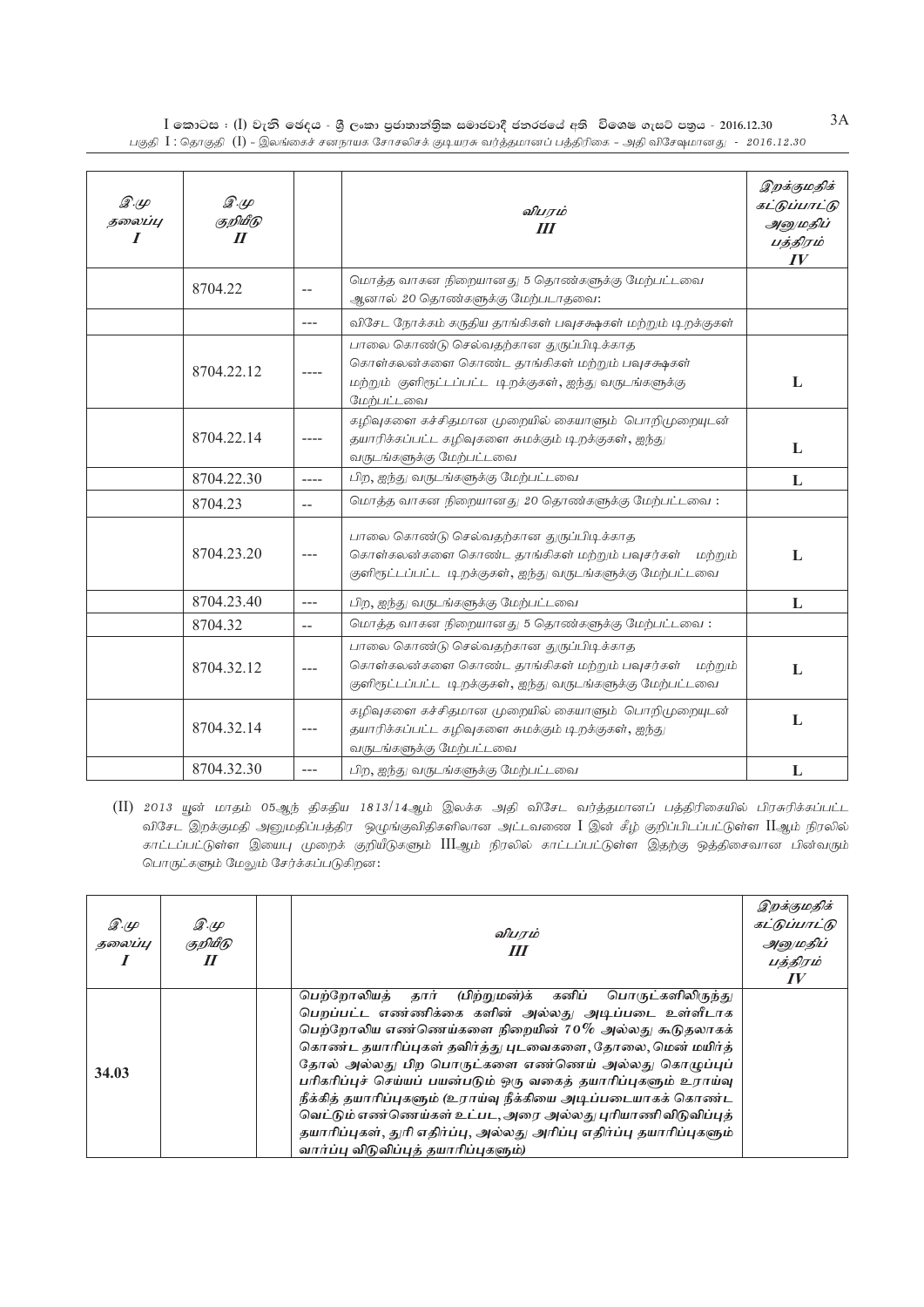$I$  කොටස : (I) වැනි ජෙදය - ශුී ලංකා පුජාතාන්තික සමාජවාදී ජනරජයේ අති විශෙෂ ගැසට් පතුය - 2016.12.30 .<br>பகுதி  $I$  : தொகுதி (I) - இலங்கைச் சனநாயக சோசலிசக் குடியரசு வர்த்தமானப் பத்திரிகை - அதி விசேஷமானது - 2016.12.30

| $\mathscr{D} \mathscr{L}$<br>தலைப்பு<br>$\boldsymbol{I}$ | $\mathscr{D}.\mathscr{L}$<br>குறியீடு<br>$\boldsymbol{\mathit{II}}$ |                          | விபரம்<br>III                                                                                                                                                      | இறக்குமதிக்<br>கட்டுப்பாட்டு<br>அனுமதிப்<br>பத்திரம்<br>IV |
|----------------------------------------------------------|---------------------------------------------------------------------|--------------------------|--------------------------------------------------------------------------------------------------------------------------------------------------------------------|------------------------------------------------------------|
|                                                          | 8704.22                                                             | $\overline{\phantom{m}}$ | மொத்த வாகன நிறையானது 5 தொண்களுக்கு மேற்பட்டவை<br>ஆனால் 20 தொண்களுக்கு மேற்படாதவை:                                                                                  |                                                            |
|                                                          |                                                                     | $---$                    | விசேட நோக்கம் கருதிய தாங்கிகள் பவுசக்ஷகள் மற்றும் டிறக்குகள்                                                                                                       |                                                            |
|                                                          | 8704.22.12                                                          |                          | பாலை கொண்டு செல்வதற்கான துருப்பிடிக்காத<br>கொள்கலன்களை கொண்ட தாங்கிகள் மற்றும் பவுசக்ஷகள்<br>மற்றும் குளிரூட்டப்பட்ட டிறக்குகள், ஐந்து வருடங்களுக்கு<br>மேற்பட்டவை | L                                                          |
|                                                          | 8704.22.14                                                          | ----                     | கழிவுகளை கச்சிதமான முறையில் கையாளும் பொறிமுறையுடன்<br>தயாரிக்கப்பட்ட கழிவுகளை சுமக்கும் டிறக்குகள், ஐந்து<br>வருடங்களுக்கு மேற்பட்டவை                              | L                                                          |
|                                                          | 8704.22.30                                                          | $--- -$                  | பிற, ஐந்து வருடங்களுக்கு மேற்பட்டவை                                                                                                                                | L                                                          |
|                                                          | 8704.23                                                             | $\overline{a}$           | மொத்த வாகன நிறையானது 20 தொண்களுக்கு மேற்பட்டவை:                                                                                                                    |                                                            |
|                                                          | 8704.23.20                                                          | $---$                    | பாலை கொண்டு செல்வதற்கான துருப்பிடிக்காத<br>கொள்கலன்களை கொண்ட தாங்கிகள் மற்றும் பவுசர்கள்<br>மற்றும்<br>குளிரூட்டப்பட்ட டிறக்குகள், ஐந்து வருடங்களுக்கு மேற்பட்டவை  | L                                                          |
|                                                          | 8704.23.40                                                          | $---$                    | பிற, ஐந்து வருடங்களுக்கு மேற்பட்டவை                                                                                                                                | L                                                          |
|                                                          | 8704.32                                                             | $\overline{\phantom{a}}$ | மொத்த வாகன நிறையானது 5 தொண்களுக்கு மேற்பட்டவை:                                                                                                                     |                                                            |
|                                                          | 8704.32.12                                                          | $---$                    | பாலை கொண்டு செல்வதற்கான துருப்பிடிக்காத<br>கொள்கலன்களை கொண்ட தாங்கிகள் மற்றும் பவுசர்கள்<br>மற்றும்<br>குளிரூட்டப்பட்ட டிறக்குகள், ஐந்து வருடங்களுக்கு மேற்பட்டவை  | L                                                          |
|                                                          | 8704.32.14                                                          |                          | கழிவுகளை கச்சிதமான முறையில் கையாளும் பொறிமுறையுடன்<br>தயாரிக்கப்பட்ட கழிவுகளை சுமக்கும் டிறக்குகள், ஐந்து<br>வருடங்களுக்கு மேற்பட்டவை                              | ${\bf L}$                                                  |
|                                                          | 8704.32.30                                                          |                          | பிற, ஐந்து வருடங்களுக்கு மேற்பட்டவை                                                                                                                                | L                                                          |

(II) 2013 யூன் மாதம் 05ஆந் திகதிய 1813/14ஆம் இலக்க அதி விசேட வர்த்தமானப் பத்திரிகையில் பிரசுரிக்கப்பட்ட விசேட இறக்குமதி அனுமதிப்பத்திர ஒழுங்குவிதிகளிலான அட்டவணை I இன் கீழ் குறிப்பிடப்பட்டுள்ள IIஆம் நிரலில் காட்டப்பட்டுள்ள இயைபு முறைக் குறியீடுகளும் IIIஆம் நிரலில் காட்டப்பட்டுள்ள இதற்கு ஒத்திசைவான பின்வரும் பொருட்களும் மேலும் சேர்க்கப்படுகிறன:

| $\mathscr{D}.\varphi$<br>தலைப்பு | இ.மு<br>குறியீடு<br>$\boldsymbol{\mathit{II}}$ | விபரம்<br>Ш                                                                                                                                                                                                                                                                                                                                                                                                                                                                                                                                                                                                              | இறக்குமதிக்<br>கட்டுப்பாட்டு<br>அனுமதிப்<br>பத்திரம்<br>$I\hspace{-.1em}V$ |
|----------------------------------|------------------------------------------------|--------------------------------------------------------------------------------------------------------------------------------------------------------------------------------------------------------------------------------------------------------------------------------------------------------------------------------------------------------------------------------------------------------------------------------------------------------------------------------------------------------------------------------------------------------------------------------------------------------------------------|----------------------------------------------------------------------------|
| 34.03                            |                                                | தார்<br>(பிற்றுமன்)க் கனிப்<br>பெற்றோலியக்<br>பொருட்களிலிருந்து<br>பெறப்பட்ட எண்ணிக்கை களின் அல்லது அடிப்படை உள்ளீடாக<br>பெற்றோலிய எண்ணெய்களை நிறையின் $70\%$ அல்லது கூடுதலாகக்<br>கொண்ட தயாரிப்புகள் தவிர்த்து புடவைகளை, தோலை, மென் மயிர்த்<br>தோல் அல்லது பிற பொருட்களை எண்ணெய் அல்லது கொழுப்புப்<br>பரிகரிப்புச் செய்யப் பயன்படும் ஒரு வகைத் தயாரிப்புகளும் உராய்வு<br>நீக்கித் தயாரிப்புகளும் (உராய்வு நீக்கியை அடிப்படையாகக் கொண்ட<br>வெட்டும் எண்ணெய்கள் உட்பட, அரை அல்லது புரியாணி விடுவிப்புத்<br>தயாரிப்புகள், துரி எதிர்ப்பு, அல்லது அரிப்பு எதிர்ப்பு தயாரிப்புகளும்<br>வார்ப்பு விடுவிப்புத் தயாரிப்புகளும்) |                                                                            |

 $3A$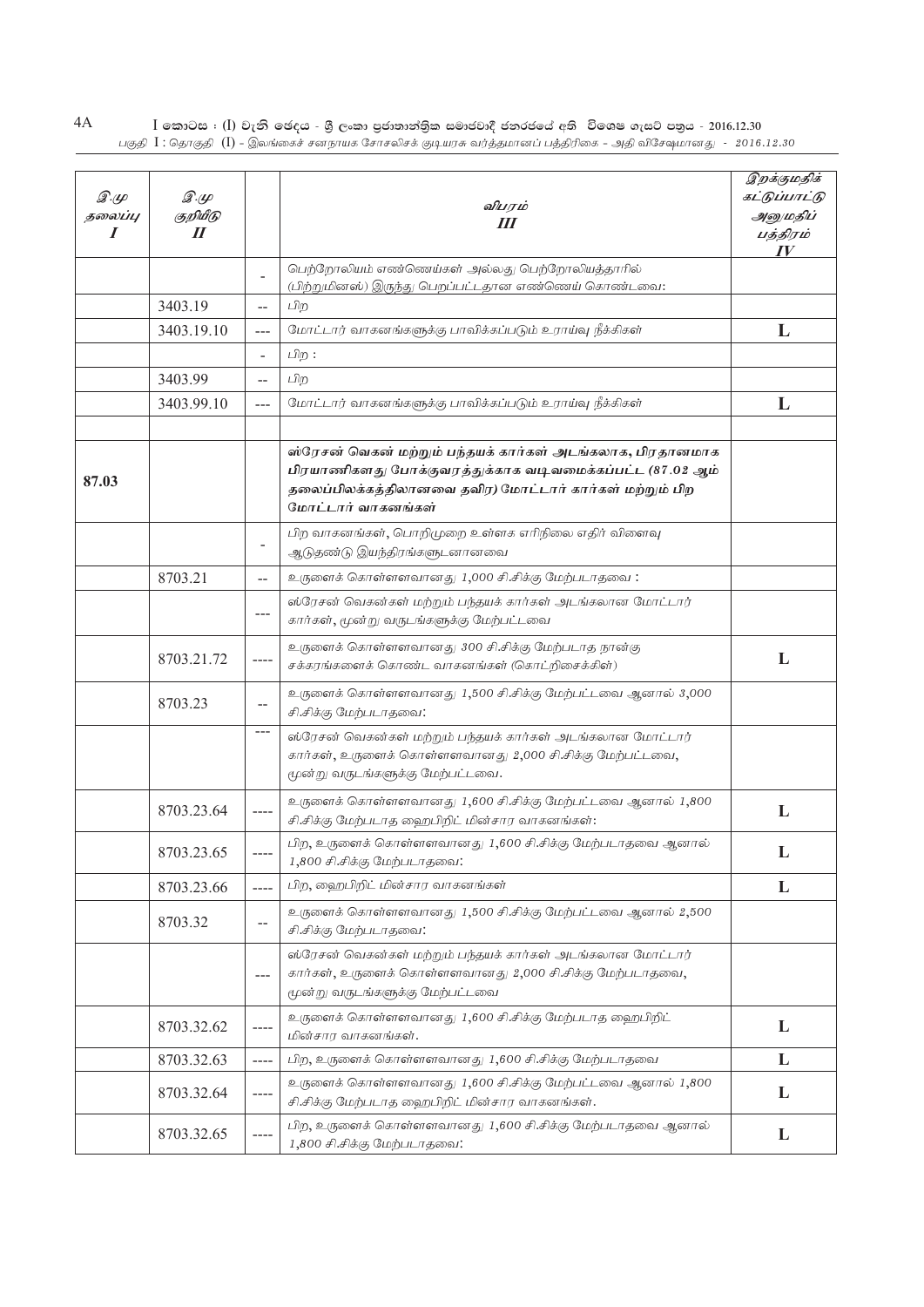| 4A | $\overline{1}$ කොටස : ( $\overline{1}$ ) වැනි ඡෙදය - ශුී ලංකා පුජාතාන්තිුක සමාජවාදී ජනරජයේ අති  විශෙෂ ගැසට් පතුය - 2016.12.30 |
|----|-------------------------------------------------------------------------------------------------------------------------------|
|    | பகுதி 【 : கொகுதி (【) - இலங்கைச் சனநாயக சோசலிசக் குடியரசு வர்க்கமானப் பக்கிரிகை - அதி விசேஷமானது   -   2016.12.30              |

| $\mathscr{F}$<br>தலைப்பு<br>I | இ.மு<br>குறியீடு<br>$\boldsymbol{\mathit{II}}$ |                          | விபரம்<br>Ш                                                                                                                                                                                            | இறக்குமதிக்<br>கட்டுப்பாட்டு<br>அனுமதிப்<br>பத்திரம்<br>$\bm{IV}$ |
|-------------------------------|------------------------------------------------|--------------------------|--------------------------------------------------------------------------------------------------------------------------------------------------------------------------------------------------------|-------------------------------------------------------------------|
|                               |                                                | $\overline{\phantom{a}}$ | பெற்றோலியம் எண்ணெய்கள் அல்லது பெற்றோலியத்தாரில்<br>(பிற்றுமினஸ்) இருந்து பெறப்பட்டதான எண்ணெய் கொண்டவை:                                                                                                 |                                                                   |
|                               | 3403.19                                        | $-$                      | பிற                                                                                                                                                                                                    |                                                                   |
|                               | 3403.19.10                                     | $---$                    | மோட்டார் வாகனங்களுக்கு பாவிக்கப்படும் உராய்வு நீக்கிகள்                                                                                                                                                | L                                                                 |
|                               |                                                | $\overline{\phantom{a}}$ | பிற :                                                                                                                                                                                                  |                                                                   |
|                               | 3403.99                                        | --                       | பிற                                                                                                                                                                                                    |                                                                   |
|                               | 3403.99.10                                     | $---$                    | மோட்டார் வாகனங்களுக்கு பாவிக்கப்படும் உராய்வு நீக்கிகள்                                                                                                                                                | L                                                                 |
|                               |                                                |                          |                                                                                                                                                                                                        |                                                                   |
| 87.03                         |                                                |                          | ஸ்ரேசன் வெகன் மற்றும் பந்தயக் கார்கள் அடங்கலாக, பிரதானமாக<br>பிரயாணிகளது போக்குவரத்துக்காக வடிவமைக்கப்பட்ட (87.02 ஆம்<br>தலைப்பிலக்கத்திலானவை தவிர) மோட்டார் கார்கள் மற்றும் பிற<br>மோட்டார் வாகனங்கள் |                                                                   |
|                               |                                                | $\overline{\phantom{a}}$ | பிற வாகனங்கள், பொறிமுறை உள்ளக எரிநிலை எதிர் விளைவு<br>ஆடுதண்டு இயந்திரங்களுடனானவை                                                                                                                      |                                                                   |
|                               | 8703.21                                        | --                       | உருளைக் கொள்ளளவானது 1,000 சி.சிக்கு மேற்படாதவை:                                                                                                                                                        |                                                                   |
|                               |                                                | $---$                    | ஸ்ரேசன் வெகன்கள் மற்றும் பந்தயக் கார்கள் அடங்கலான மோட்டார்<br>கார்கள், மூன்று வருடங்களுக்கு மேற்பட்டவை                                                                                                 |                                                                   |
|                               | 8703.21.72                                     | ----                     | உருளைக் கொள்ளளவானது 300 சி.சிக்கு மேற்படாத நான்கு<br>சக்கரங்களைக் கொண்ட வாகனங்கள் (கொட்றிசைக்கிள்)                                                                                                     | L                                                                 |
|                               | 8703.23                                        | --                       | உருளைக் கொள்ளளவானது 1,500 சி.சிக்கு மேற்பட்டவை ஆனால் 3,000<br>சி.சிக்கு மேற்படாதவை:                                                                                                                    |                                                                   |
|                               |                                                | $---$                    | ஸ்ரேசன் வெகன்கள் மற்றும் பந்தயக் கார்கள் அடங்கலான மோட்டார்<br>கார்கள், உருளைக் கொள்ளளவானது 2,000 சி.சிக்கு மேற்பட்டவை,<br>மூன்று வருடங்களுக்கு மேற்பட்டவை.                                             |                                                                   |
|                               | 8703.23.64                                     | ----                     | உருளைக் கொள்ளளவானது 1,600 சி.சிக்கு மேற்பட்டவை ஆனால் 1,800<br>சி.சிக்கு மேற்படாத ஹைபிறிட் மின்சார வாகனங்கள்:                                                                                           | L                                                                 |
|                               | 8703.23.65                                     |                          | பிற, உருளைக் கொள்ளளவானது 1,600 சி.சிக்கு மேற்படாதவை ஆனால்<br>1,800 சி.சிக்கு மேற்படாதவை:                                                                                                               | L                                                                 |
|                               | 8703.23.66                                     | ----                     | பிற, ஹைபிறிட் மின்சார வாகனங்கள்                                                                                                                                                                        | L                                                                 |
|                               | 8703.32                                        | --                       | உருளைக் கொள்ளளவானது 1,500 சி.சிக்கு மேற்பட்டவை ஆனால் 2,500<br>சி.சிக்கு மேற்படாதவை:                                                                                                                    |                                                                   |
|                               |                                                | ---                      | ஸ்ரேசன் வெகன்கள் மற்றும் பந்தயக் கார்கள் அடங்கலான மோட்டார்<br>கார்கள், உருளைக் கொள்ளளவானது 2,000 சி.சிக்கு மேற்படாதவை,<br>மூன்று வருடங்களுக்கு மேற்பட்டவை                                              |                                                                   |
|                               | 8703.32.62                                     | ----                     | உருளைக் கொள்ளளவானது 1,600 சி.சிக்கு மேற்படாத ஹைபிறிட்<br>மின்சார வாகனங்கள்.                                                                                                                            | L                                                                 |
|                               | 8703.32.63                                     | ----                     | பிற, உருளைக் கொள்ளளவானது 1,600 சி.சிக்கு மேற்படாதவை                                                                                                                                                    | L                                                                 |
|                               | 8703.32.64                                     | ----                     | உருளைக் கொள்ளளவானது 1,600 சி.சிக்கு மேற்பட்டவை ஆனால் 1,800<br>சி.சிக்கு மேற்படாத ஹைபிறிட் மின்சார வாகனங்கள்.                                                                                           | L                                                                 |
|                               | 8703.32.65                                     | ----                     | பிற, உருளைக் கொள்ளளவானது 1,600 சி.சிக்கு மேற்படாதவை ஆனால்<br>1,800 சி.சிக்கு மேற்படாதவை:                                                                                                               | L                                                                 |

 $\overline{A}$  $\overline{A}$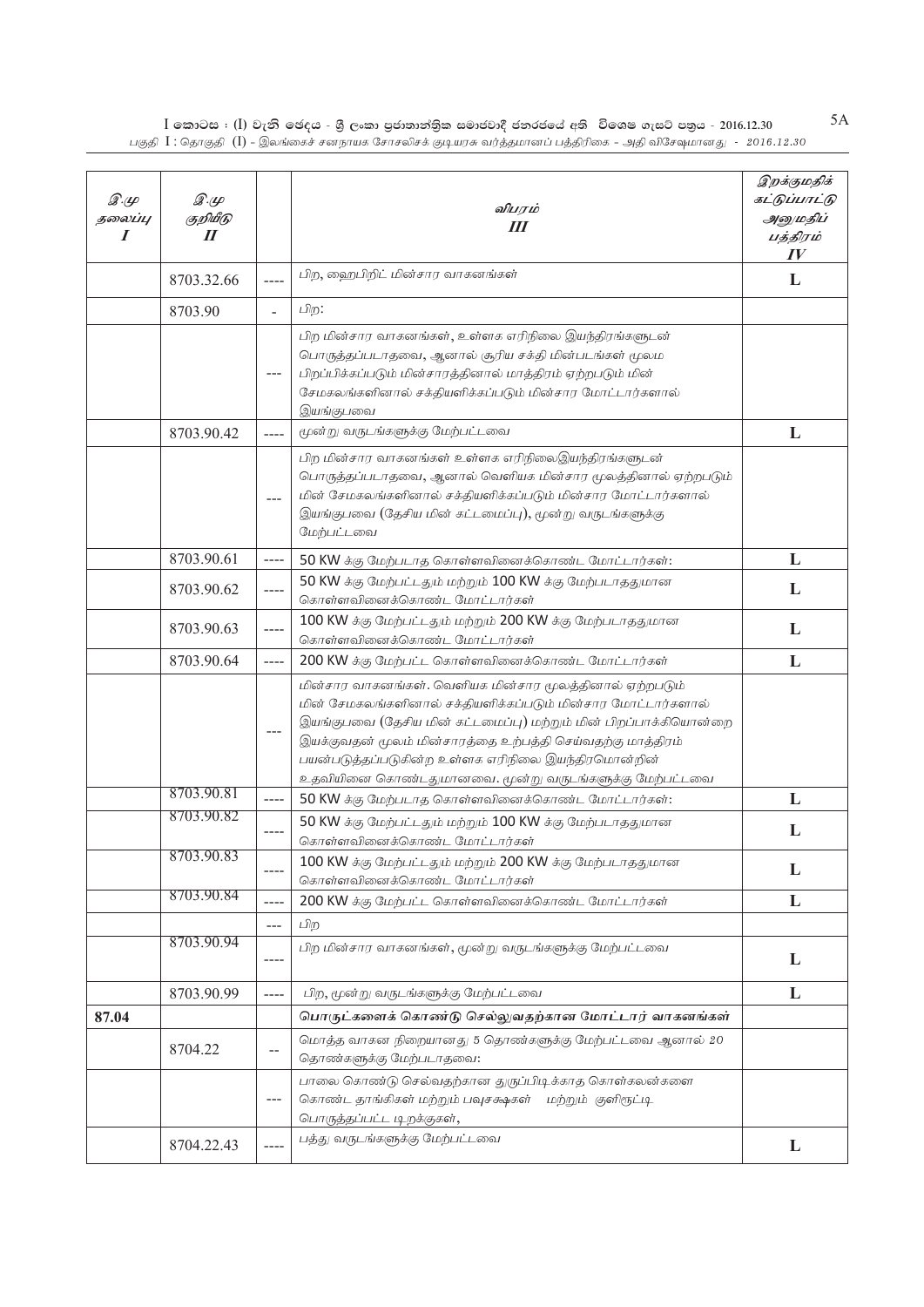$\,$ I කොටස : ( $\rm I)$  වැනි ඡෙදය - ශුී ලංකා පුජාතාන්තිුක සමාජවාදී ජනරජයේ අති විශෙෂ ගැසට් පතුය - 2016.12.30 பகுதி  $\rm\,I$  : தொகுதி  $\rm\,(I)$  - இலங்கைச் சனநாயக சோசலிசக் குடியரசு வர்த்தமானப் பத்திரிகை - அதி விசேஷமானது -  $\rm\,2016.12.30$ 

| $\mathscr{F}\hspace{-1pt}\mathscr{L}$<br>தலைப்பு<br>I | இ.மு<br>குறியீடு<br>$\boldsymbol{\mathit{II}}$ |                | விபரம்<br>Ш                                                                                                                                                                                                                                                                                                     | இறக்குமதிக்<br>கட்டுப்பாட்டு<br>அனுமதிப்<br>பத்திரம்<br>IV |
|-------------------------------------------------------|------------------------------------------------|----------------|-----------------------------------------------------------------------------------------------------------------------------------------------------------------------------------------------------------------------------------------------------------------------------------------------------------------|------------------------------------------------------------|
|                                                       | 8703.32.66                                     | $---$          | பிற, ஹைபிறிட் மின்சார வாகனங்கள்                                                                                                                                                                                                                                                                                 | L                                                          |
|                                                       | 8703.90                                        | $\overline{a}$ | பிற:                                                                                                                                                                                                                                                                                                            |                                                            |
|                                                       |                                                | $---$          | பிற மின்சார வாகனங்கள், உள்ளக எரிநிலை இயந்திரங்களுடன்<br>பொருத்தப்படாதவை, ஆனால் சூரிய சக்தி மின்படங்கள் மூலம<br>பிறப்பிக்கப்படும் மின்சாரத்தினால் மாத்திரம் ஏற்றபடும் மின்<br>சேமகலங்களினால் சக்தியளிக்கப்படும் மின்சார மோட்டார்களால்<br>இயங்குபவை                                                               |                                                            |
|                                                       | 8703.90.42                                     | $---$          | மூன்று வருடங்களுக்கு மேற்பட்டவை                                                                                                                                                                                                                                                                                 | L                                                          |
|                                                       |                                                | $---$          | பிற மின்சார வாகனங்கள் உள்ளக எரிநிலைஇயந்திரங்களுடன்<br>பொருத்தப்படாதவை, ஆனால் வெளியக மின்சார மூலத்தினால் ஏற்றபடும்<br>மின் சேமகலங்களினால் சக்தியளிக்கப்படும் மின்சார மோட்டார்களால்<br>இயங்குபவை (தேசிய மின் கட்டமைப்பு), மூன்று வருடங்களுக்கு<br>மேற்பட்டவை                                                      |                                                            |
|                                                       | 8703.90.61                                     | ----           | 50 KW க்கு மேற்படாத கொள்ளவினைக்கொண்ட மோட்டார்கள்:                                                                                                                                                                                                                                                               | L                                                          |
|                                                       | 8703.90.62                                     | $---$          | 50 KW க்கு மேற்பட்டதும் மற்றும் 100 KW க்கு மேற்படாததுமான<br>கொள்ளவினைக்கொண்ட மோட்டார்கள்                                                                                                                                                                                                                       | L                                                          |
|                                                       | 8703.90.63                                     | $---$          | 100 KW க்கு மேற்பட்டதும் மற்றும் 200 KW க்கு மேற்படாததுமான<br>கொள்ளவினைக்கொண்ட மோட்டார்கள்                                                                                                                                                                                                                      | L                                                          |
|                                                       | 8703.90.64                                     | $---$          | 200 KW க்கு மேற்பட்ட கொள்ளவினைக்கொண்ட மோட்டார்கள்                                                                                                                                                                                                                                                               | L                                                          |
|                                                       |                                                | $---$          | மின்சார வாகனங்கள். வெளியக மின்சார மூலத்தினால் ஏற்றபடும்<br>மின் சேமகலங்களினால் சக்தியளிக்கப்படும் மின்சார மோட்டார்களால்<br>இயங்குபவை (தேசிய மின் கட்டமைப்பு) மற்றும் மின் பிறப்பாக்கியொன்றை<br>இயக்குவதன் மூலம் மின்சாரத்தை உற்பத்தி செய்வதற்கு மாத்திரம்<br>பயன்படுத்தப்படுகின்ற உள்ளக எரிநிலை இயந்திரமொன்றின் |                                                            |
|                                                       | 8703.90.81                                     | $---$          | உதவியினை கொண்டதுமானவை. மூன்று வருடங்களுக்கு மேற்பட்டவை<br>50 KW க்கு மேற்படாத கொள்ளவினைக்கொண்ட மோட்டார்கள்:                                                                                                                                                                                                     | L                                                          |
|                                                       | 8703.90.82                                     | ----           | 50 KW க்கு மேற்பட்டதும் மற்றும் 100 KW க்கு மேற்படாததுமான                                                                                                                                                                                                                                                       | L                                                          |
|                                                       | 8703.90.83                                     | $--- -$        | கொள்ளவினைக்கொண்ட மோட்டார்கள்<br>100 KW க்கு மேற்பட்டதும் மற்றும் 200 KW க்கு மேற்படாததுமான<br>கொள்ளவினைக்கொண்ட மோட்டார்கள்                                                                                                                                                                                      | L                                                          |
|                                                       | 8703.90.84                                     | $--- -$        | 200 KW க்கு மேற்பட்ட கொள்ளவினைக்கொண்ட மோட்டார்கள்                                                                                                                                                                                                                                                               | L                                                          |
|                                                       |                                                | $---$          | பிற                                                                                                                                                                                                                                                                                                             |                                                            |
|                                                       | 8703.90.94                                     | ----           | பிற மின்சார வாகனங்கள், மூன்று வருடங்களுக்கு மேற்பட்டவை                                                                                                                                                                                                                                                          | L                                                          |
|                                                       | 8703.90.99                                     | $--- -$        | பிற, மூன்று வருடங்களுக்கு மேற்பட்டவை                                                                                                                                                                                                                                                                            | L                                                          |
| 87.04                                                 |                                                |                | பொருட்களைக் கொண்டு செல்லுவதற்கான மோட்டார் வாகனங்கள்                                                                                                                                                                                                                                                             |                                                            |
|                                                       | 8704.22                                        | $-$            | மொத்த வாகன நிறையானது 5 தொண்களுக்கு மேற்பட்டவை ஆனால் 20<br>தொண்களுக்கு மேற்படாதவை:                                                                                                                                                                                                                               |                                                            |
|                                                       |                                                | $---$          | பாலை கொண்டு செல்வதற்கான துருப்பிடிக்காத கொள்கலன்களை<br>கொண்ட தாங்கிகள் மற்றும் பவுசக்ஷகள் மற்றும் குளிரூட்டி<br>பொருத்தப்பட்ட டிறக்குகள்,                                                                                                                                                                       |                                                            |
|                                                       | 8704.22.43                                     | ----           | பத்து வருடங்களுக்கு மேற்பட்டவை                                                                                                                                                                                                                                                                                  | L                                                          |

5A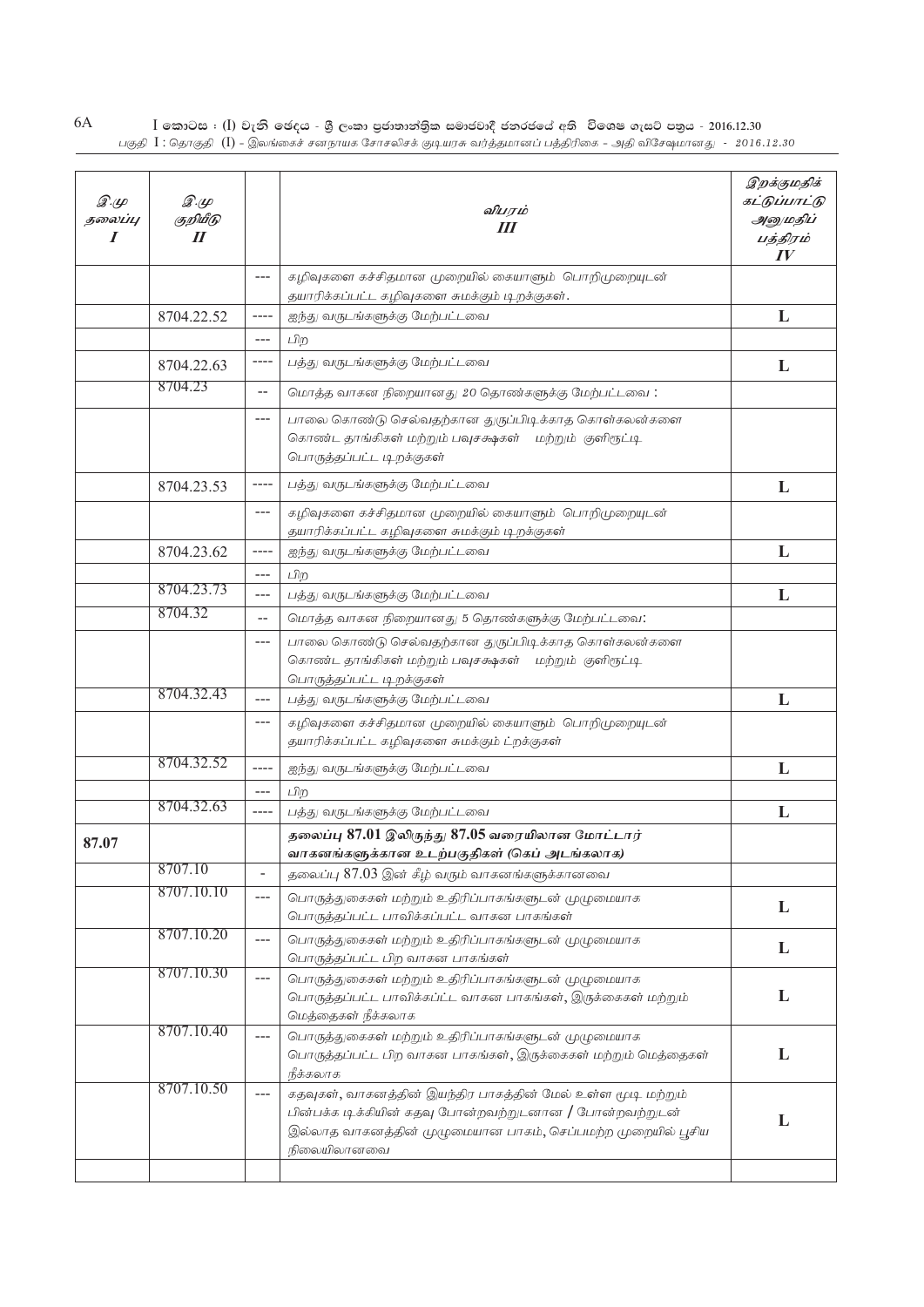| 6A | $\;$ [ කොටස : ( $\;$ ]) වැනි ඡෙදය - ශුී ලංකා පුජාතාන්තිුක සමාජවාදී ජනරජයේ අති  විශෙෂ ගැසට් පතුය - 2016.12.30               |  |
|----|----------------------------------------------------------------------------------------------------------------------------|--|
|    | பகுகி $\rm{l}$ : கொகுகி $\rm{(l)}$ - இலங்கைச் சனநாயக சோசலிசக் குடியாசு வர்க்கமானப் பக்கிரிகை - அகி விசேவமானகட - 2016.12.30 |  |

| $\mathscr{D} \mathscr{L}$<br>தலைப்பு<br>I | $\mathscr{D} \mathscr{L}$<br>குறியீடு<br>$I\!I$ |                          | விபரம்<br>Ш                                                                                                                                                                                           | இறக்குமதிக்<br>கட்டுப்பாட்டு<br>அனுமதிப்<br>பத்திரம்<br>IV |
|-------------------------------------------|-------------------------------------------------|--------------------------|-------------------------------------------------------------------------------------------------------------------------------------------------------------------------------------------------------|------------------------------------------------------------|
|                                           |                                                 | $---$                    | கழிவுகளை கச்சிதமான முறையில் கையாளும் பொறிமுறையுடன்                                                                                                                                                    |                                                            |
|                                           |                                                 |                          | தயாரிக்கப்பட்ட கழிவுகளை சுமக்கும் டிறக்குகள்.                                                                                                                                                         |                                                            |
|                                           | 8704.22.52                                      | ----                     | ஐந்து வருடங்களுக்கு மேற்பட்டவை                                                                                                                                                                        | L                                                          |
|                                           |                                                 | $---$                    | பிற                                                                                                                                                                                                   |                                                            |
|                                           | 8704.22.63                                      | ----                     | பத்து வருடங்களுக்கு மேற்பட்டவை                                                                                                                                                                        | L                                                          |
|                                           | 8704.23                                         | $\overline{\phantom{a}}$ | மொத்த வாகன நிறையானது 20 தொண்களுக்கு மேற்பட்டவை:                                                                                                                                                       |                                                            |
|                                           |                                                 | $---$                    | பாலை கொண்டு செல்வதற்கான துருப்பிடிக்காத கொள்கலன்களை<br>கொண்ட தாங்கிகள் மற்றும் பவுசக்ஷகள் மற்றும் குளிரூட்டி<br>பொருத்தப்பட்ட டிறக்குகள்                                                              |                                                            |
|                                           | 8704.23.53                                      | ----                     | பத்து வருடங்களுக்கு மேற்பட்டவை                                                                                                                                                                        | L                                                          |
|                                           |                                                 | $---$                    | கழிவுகளை கச்சிதமான முறையில் கையாளும் பொறிமுறையுடன்<br>தயாரிக்கப்பட்ட கழிவுகளை சுமக்கும் டிறக்குகள்                                                                                                    |                                                            |
|                                           | 8704.23.62                                      | ----                     | ஐந்து வருடங்களுக்கு மேற்பட்டவை                                                                                                                                                                        | L                                                          |
|                                           |                                                 | $---$                    | பிற                                                                                                                                                                                                   |                                                            |
|                                           | 8704.23.73                                      | $---$                    | பத்து வருடங்களுக்கு மேற்பட்டவை                                                                                                                                                                        | L                                                          |
|                                           | 8704.32                                         | --                       | மொத்த வாகன நிறையானது 5 தொண்களுக்கு மேற்பட்டவை:                                                                                                                                                        |                                                            |
|                                           |                                                 | $---$                    | பாலை கொண்டு செல்வதற்கான துருப்பிடிக்காத கொள்கலன்களை<br>கொண்ட தாங்கிகள் மற்றும் பவுசக்ஷகள் மற்றும் குளிரூட்டி<br>பொருத்தப்பட்ட டிறக்குகள்                                                              |                                                            |
|                                           | 8704.32.43                                      | $---$                    | பத்து வருடங்களுக்கு மேற்பட்டவை                                                                                                                                                                        | L                                                          |
|                                           |                                                 | $---$                    | கழிவுகளை கச்சிதமான முறையில் கையாளும் பொறிமுறையுடன்<br>தயாரிக்கப்பட்ட கழிவுகளை சுமக்கும் ட்றக்குகள்                                                                                                    |                                                            |
|                                           | 8704.32.52                                      | $---$                    | ஐந்து வருடங்களுக்கு மேற்பட்டவை                                                                                                                                                                        | L                                                          |
|                                           |                                                 | $---$                    | பிற                                                                                                                                                                                                   |                                                            |
|                                           | 8704.32.63                                      | ----                     | பத்து வருடங்களுக்கு மேற்பட்டவை                                                                                                                                                                        | L                                                          |
| 87.07                                     |                                                 |                          | தலைப்பு 87.01 இலிருந்து 87.05 வரையிலான மோட்டார்                                                                                                                                                       |                                                            |
|                                           |                                                 |                          | வாகனங்களுக்கான உடற்பகுதிகள் (கெப் அடங்கலாக)                                                                                                                                                           |                                                            |
|                                           | 8707.10                                         | $\frac{1}{2}$            | தலைப்பு 87.03 இன் கீழ் வரும் வாகனங்களுக்கானவை                                                                                                                                                         |                                                            |
|                                           | 8707.10.10                                      | $---$                    | பொருத்துகைகள் மற்றும் உதிரிப்பாகங்களுடன் முழுமையாக<br>பொருத்தப்பட்ட பாவிக்கப்பட்ட வாகன பாகங்கள்                                                                                                       | L                                                          |
|                                           | 8707.10.20                                      | $---$                    | பொருத்துகைகள் மற்றும் உதிரிப்பாகங்களுடன் முழுமையாக                                                                                                                                                    | L                                                          |
|                                           | 8707.10.30                                      |                          | பொருத்தப்பட்ட பிற வாகன பாகங்கள்                                                                                                                                                                       |                                                            |
|                                           |                                                 | $---$                    | பொருத்துகைகள் மற்றும் உதிரிப்பாகங்களுடன் முழுமையாக<br>பொருத்தப்பட்ட பாவிக்கப்ட்ட வாகன பாகங்கள், இருக்கைகள் மற்றும்<br>மெத்தைகள் நீக்கலாக                                                              | L                                                          |
|                                           | 8707.10.40                                      | $---$                    | பொருத்துகைகள் மற்றும் உதிரிப்பாகங்களுடன் முழுமையாக<br>பொருத்தப்பட்ட பிற வாகன பாகங்கள், இருக்கைகள் மற்றும் மெத்தைகள்<br>நீக்கலாக                                                                       | L                                                          |
|                                           | 8707.10.50                                      | $---$                    | கதவுகள், வாகனத்தின் இயந்திர பாகத்தின் மேல் உள்ள மூடி மற்றும்<br>பின்பக்க டிக்கியின் கதவு போன்றவற்றுடனான / போன்றவற்றுடன்<br>இல்லாத வாகனத்தின் முழுமையான பாகம், செப்பமற்ற முறையில் பூசிய<br>நிலையிலானவை | L                                                          |